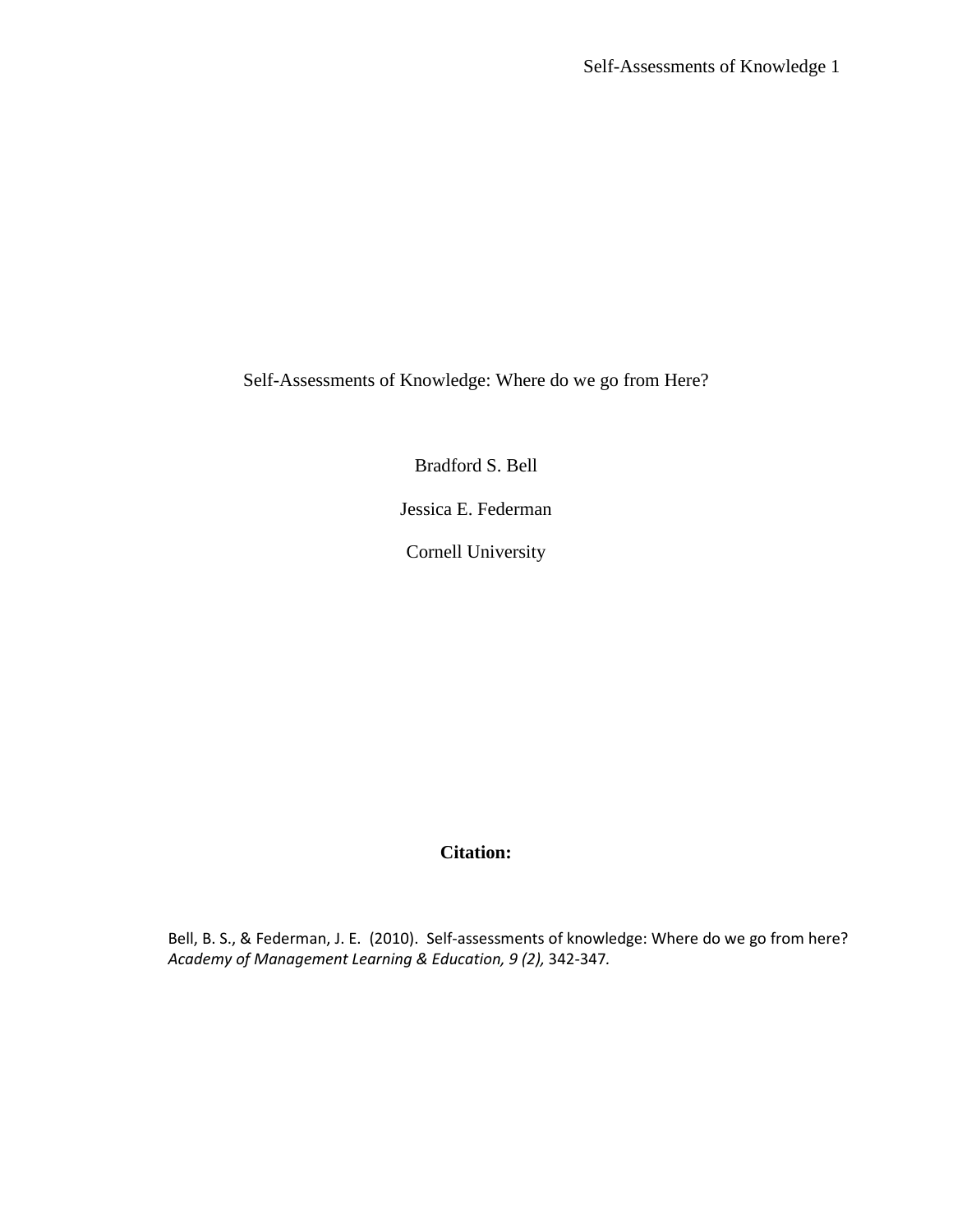Self-Assessments of Knowledge: Where do we go from Here?

Bradford S. Bell

Jessica E. Federman

Cornell University

**Citation:**

Bell, B. S., & Federman, J. E. (2010). Self-assessments of knowledge: Where do we go from here? *Academy of Management Learning & Education, 9 (2),* 342-347*.*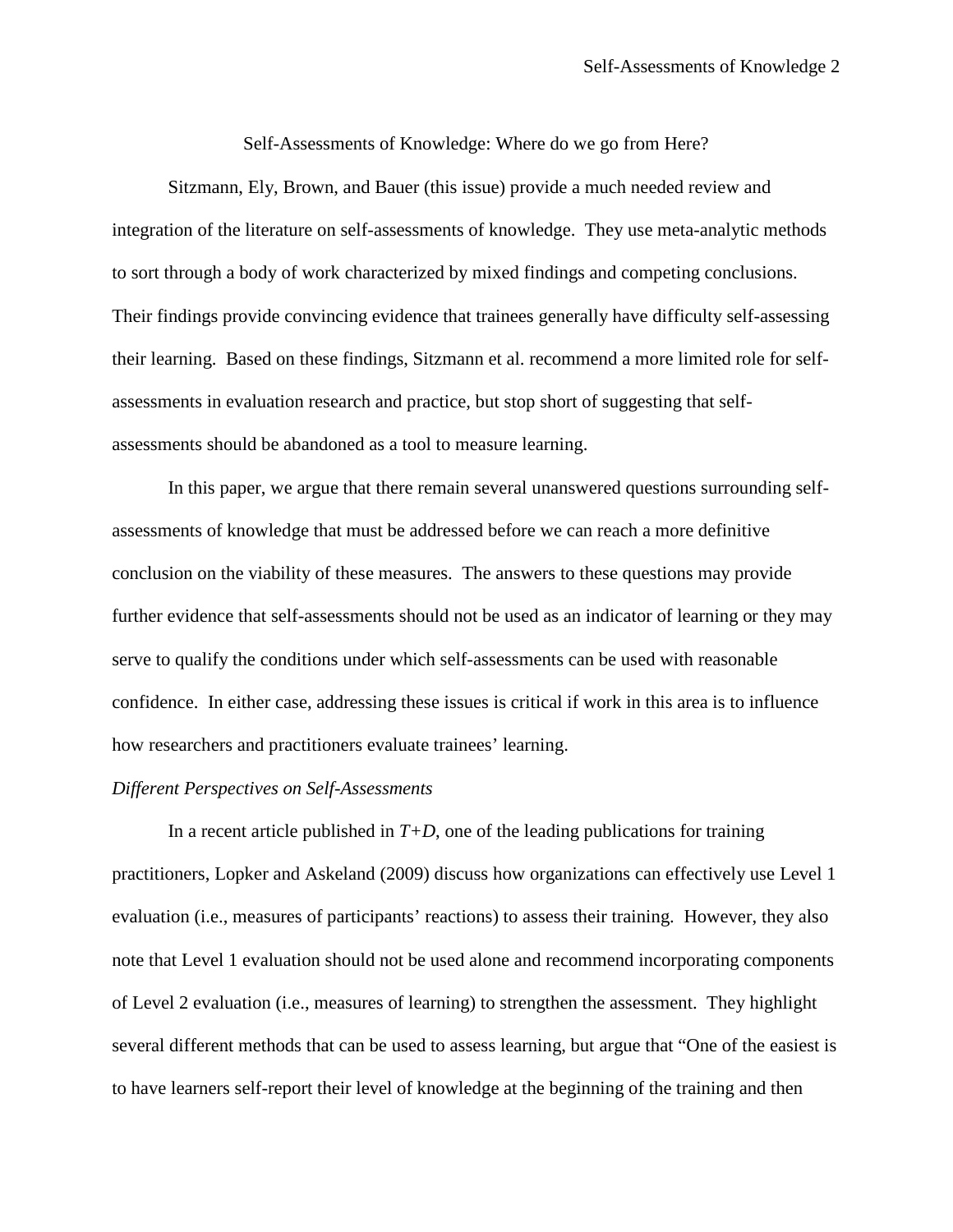Self-Assessments of Knowledge: Where do we go from Here?

Sitzmann, Ely, Brown, and Bauer (this issue) provide a much needed review and integration of the literature on self-assessments of knowledge. They use meta-analytic methods to sort through a body of work characterized by mixed findings and competing conclusions. Their findings provide convincing evidence that trainees generally have difficulty self-assessing their learning. Based on these findings, Sitzmann et al. recommend a more limited role for selfassessments in evaluation research and practice, but stop short of suggesting that selfassessments should be abandoned as a tool to measure learning.

In this paper, we argue that there remain several unanswered questions surrounding selfassessments of knowledge that must be addressed before we can reach a more definitive conclusion on the viability of these measures. The answers to these questions may provide further evidence that self-assessments should not be used as an indicator of learning or they may serve to qualify the conditions under which self-assessments can be used with reasonable confidence. In either case, addressing these issues is critical if work in this area is to influence how researchers and practitioners evaluate trainees' learning.

# *Different Perspectives on Self-Assessments*

In a recent article published in  $T+D$ , one of the leading publications for training practitioners, Lopker and Askeland (2009) discuss how organizations can effectively use Level 1 evaluation (i.e., measures of participants' reactions) to assess their training. However, they also note that Level 1 evaluation should not be used alone and recommend incorporating components of Level 2 evaluation (i.e., measures of learning) to strengthen the assessment. They highlight several different methods that can be used to assess learning, but argue that "One of the easiest is to have learners self-report their level of knowledge at the beginning of the training and then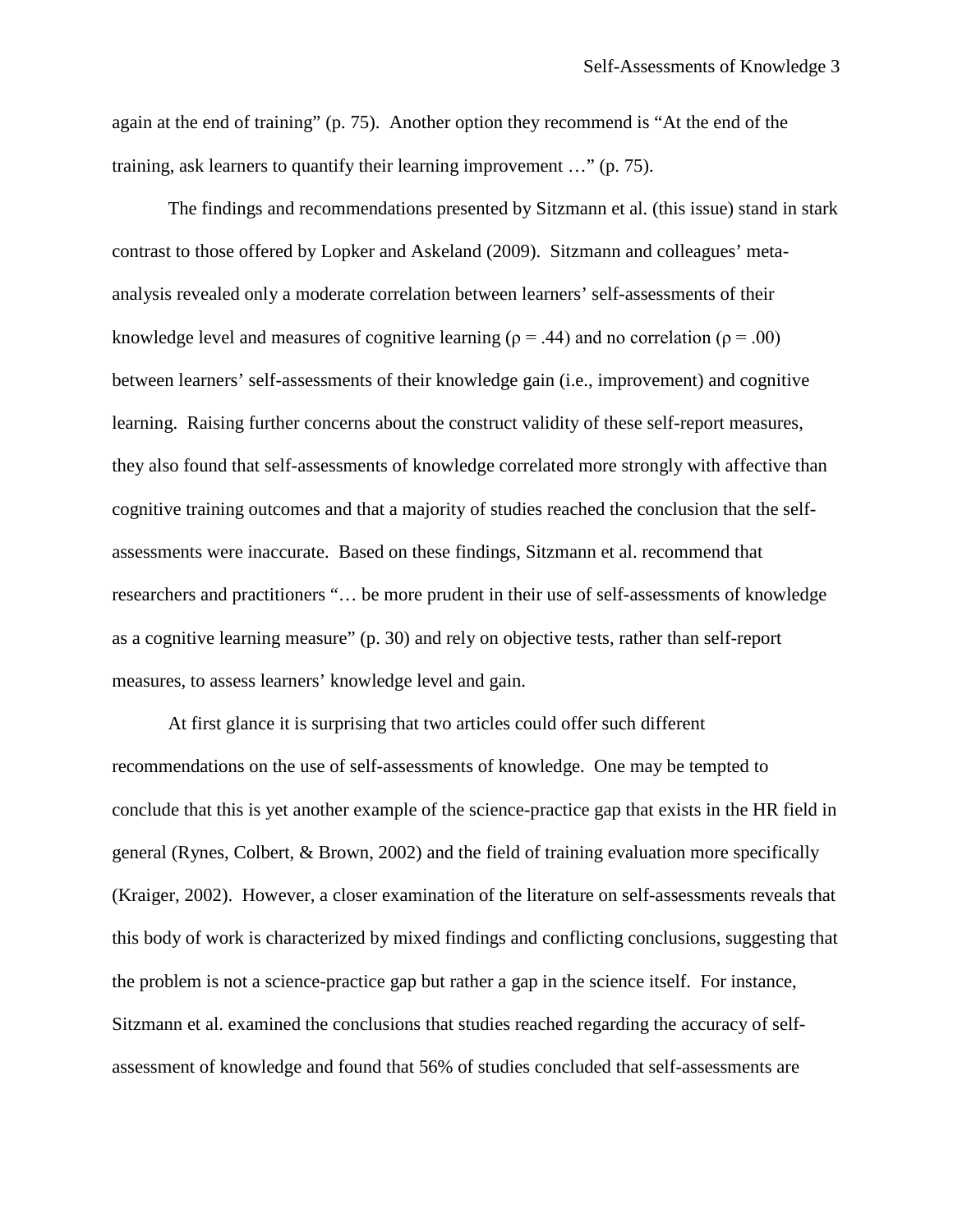again at the end of training" (p. 75). Another option they recommend is "At the end of the training, ask learners to quantify their learning improvement …" (p. 75).

The findings and recommendations presented by Sitzmann et al. (this issue) stand in stark contrast to those offered by Lopker and Askeland (2009). Sitzmann and colleagues' metaanalysis revealed only a moderate correlation between learners' self-assessments of their knowledge level and measures of cognitive learning ( $\rho = .44$ ) and no correlation ( $\rho = .00$ ) between learners' self-assessments of their knowledge gain (i.e., improvement) and cognitive learning. Raising further concerns about the construct validity of these self-report measures, they also found that self-assessments of knowledge correlated more strongly with affective than cognitive training outcomes and that a majority of studies reached the conclusion that the selfassessments were inaccurate. Based on these findings, Sitzmann et al. recommend that researchers and practitioners "… be more prudent in their use of self-assessments of knowledge as a cognitive learning measure" (p. 30) and rely on objective tests, rather than self-report measures, to assess learners' knowledge level and gain.

At first glance it is surprising that two articles could offer such different recommendations on the use of self-assessments of knowledge. One may be tempted to conclude that this is yet another example of the science-practice gap that exists in the HR field in general (Rynes, Colbert, & Brown, 2002) and the field of training evaluation more specifically (Kraiger, 2002). However, a closer examination of the literature on self-assessments reveals that this body of work is characterized by mixed findings and conflicting conclusions, suggesting that the problem is not a science-practice gap but rather a gap in the science itself. For instance, Sitzmann et al. examined the conclusions that studies reached regarding the accuracy of selfassessment of knowledge and found that 56% of studies concluded that self-assessments are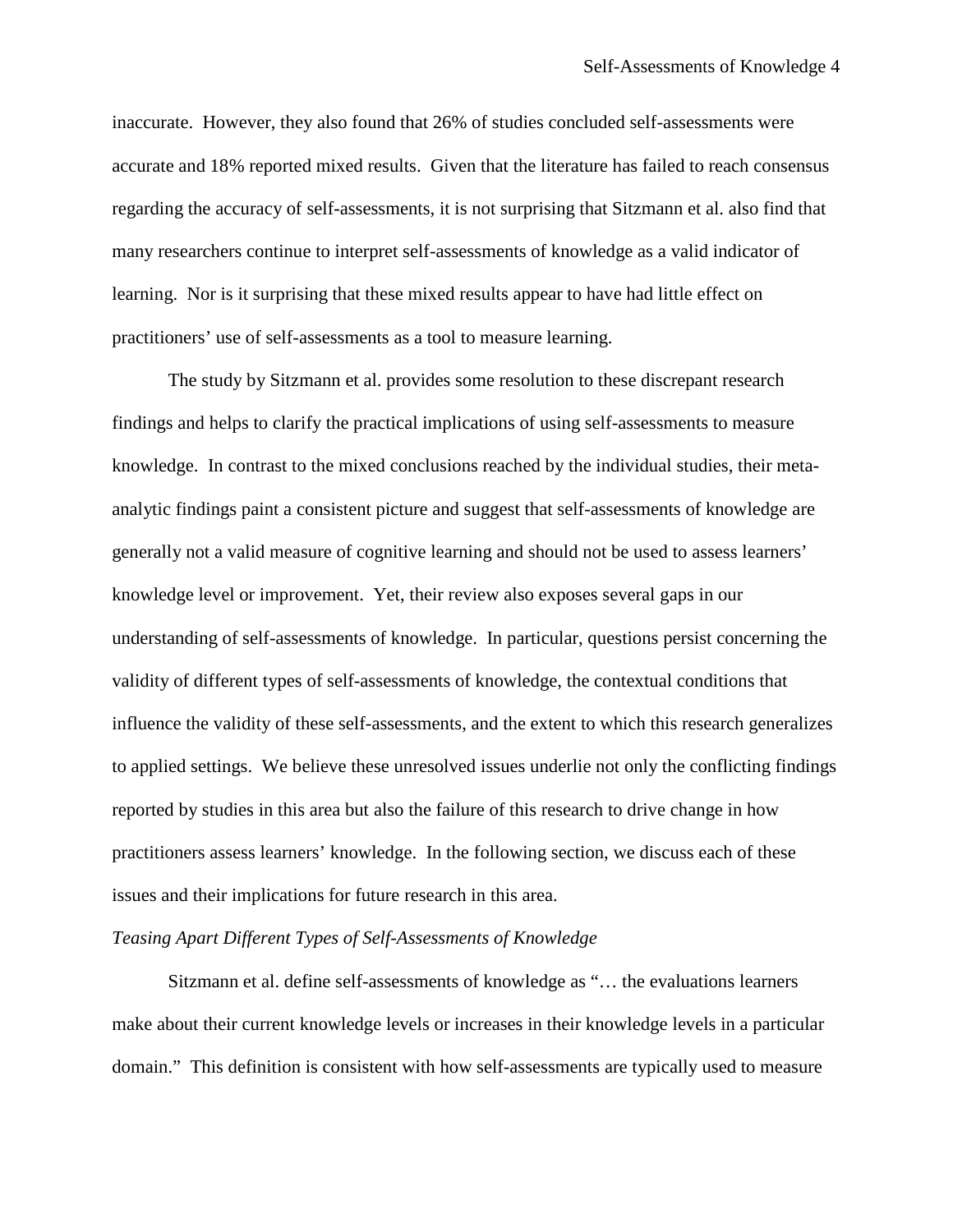inaccurate. However, they also found that 26% of studies concluded self-assessments were accurate and 18% reported mixed results. Given that the literature has failed to reach consensus regarding the accuracy of self-assessments, it is not surprising that Sitzmann et al. also find that many researchers continue to interpret self-assessments of knowledge as a valid indicator of learning. Nor is it surprising that these mixed results appear to have had little effect on practitioners' use of self-assessments as a tool to measure learning.

The study by Sitzmann et al. provides some resolution to these discrepant research findings and helps to clarify the practical implications of using self-assessments to measure knowledge. In contrast to the mixed conclusions reached by the individual studies, their metaanalytic findings paint a consistent picture and suggest that self-assessments of knowledge are generally not a valid measure of cognitive learning and should not be used to assess learners' knowledge level or improvement. Yet, their review also exposes several gaps in our understanding of self-assessments of knowledge. In particular, questions persist concerning the validity of different types of self-assessments of knowledge, the contextual conditions that influence the validity of these self-assessments, and the extent to which this research generalizes to applied settings. We believe these unresolved issues underlie not only the conflicting findings reported by studies in this area but also the failure of this research to drive change in how practitioners assess learners' knowledge. In the following section, we discuss each of these issues and their implications for future research in this area.

## *Teasing Apart Different Types of Self-Assessments of Knowledge*

Sitzmann et al. define self-assessments of knowledge as "… the evaluations learners make about their current knowledge levels or increases in their knowledge levels in a particular domain." This definition is consistent with how self-assessments are typically used to measure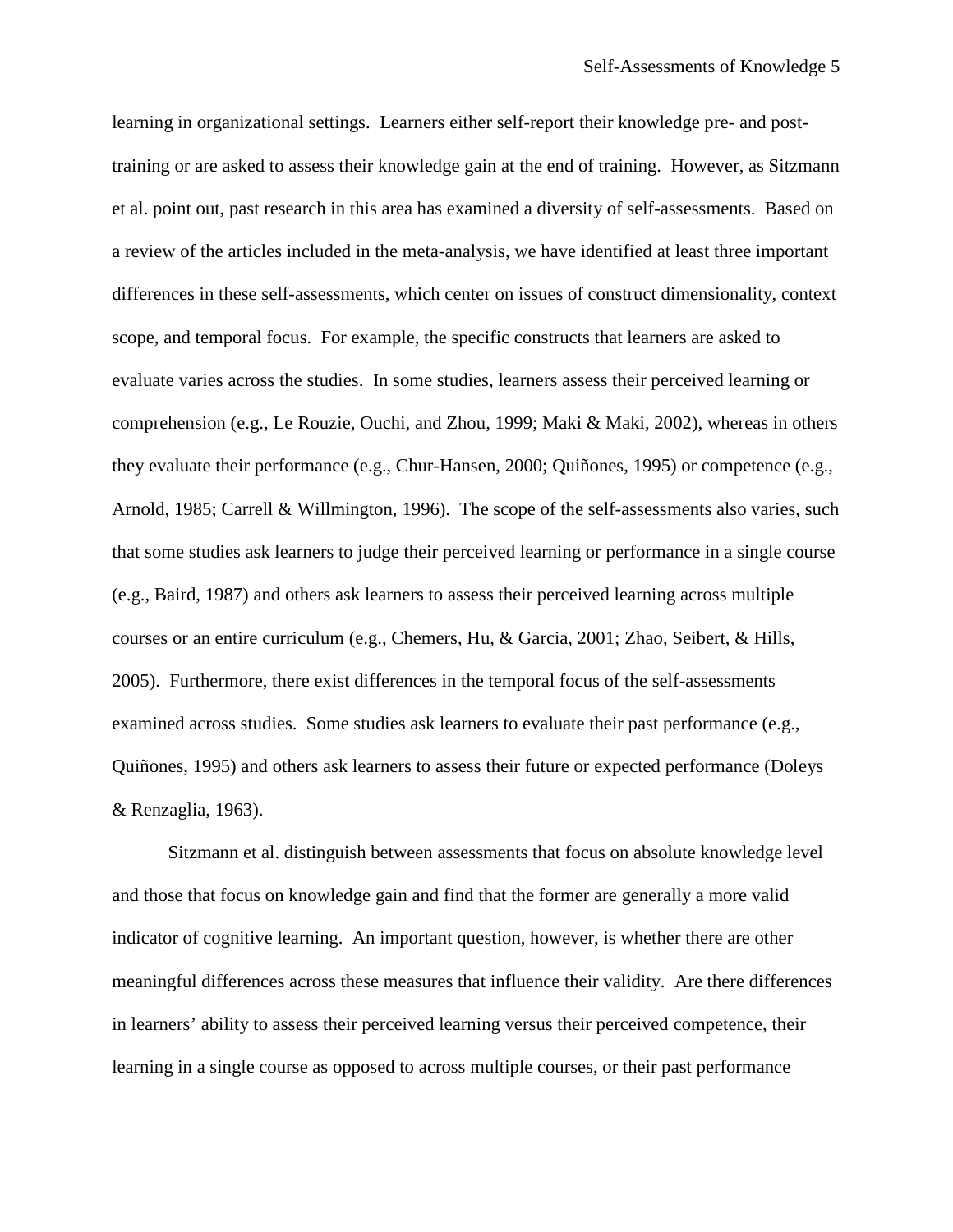learning in organizational settings. Learners either self-report their knowledge pre- and posttraining or are asked to assess their knowledge gain at the end of training. However, as Sitzmann et al. point out, past research in this area has examined a diversity of self-assessments. Based on a review of the articles included in the meta-analysis, we have identified at least three important differences in these self-assessments, which center on issues of construct dimensionality, context scope, and temporal focus. For example, the specific constructs that learners are asked to evaluate varies across the studies. In some studies, learners assess their perceived learning or comprehension (e.g., Le Rouzie, Ouchi, and Zhou, 1999; Maki & Maki, 2002), whereas in others they evaluate their performance (e.g., Chur-Hansen, 2000; Quiñones, 1995) or competence (e.g., Arnold, 1985; Carrell & Willmington, 1996). The scope of the self-assessments also varies, such that some studies ask learners to judge their perceived learning or performance in a single course (e.g., Baird, 1987) and others ask learners to assess their perceived learning across multiple courses or an entire curriculum (e.g., Chemers, Hu, & Garcia, 2001; Zhao, Seibert, & Hills, 2005). Furthermore, there exist differences in the temporal focus of the self-assessments examined across studies. Some studies ask learners to evaluate their past performance (e.g., Quiñones, 1995) and others ask learners to assess their future or expected performance (Doleys & Renzaglia, 1963).

Sitzmann et al. distinguish between assessments that focus on absolute knowledge level and those that focus on knowledge gain and find that the former are generally a more valid indicator of cognitive learning. An important question, however, is whether there are other meaningful differences across these measures that influence their validity. Are there differences in learners' ability to assess their perceived learning versus their perceived competence, their learning in a single course as opposed to across multiple courses, or their past performance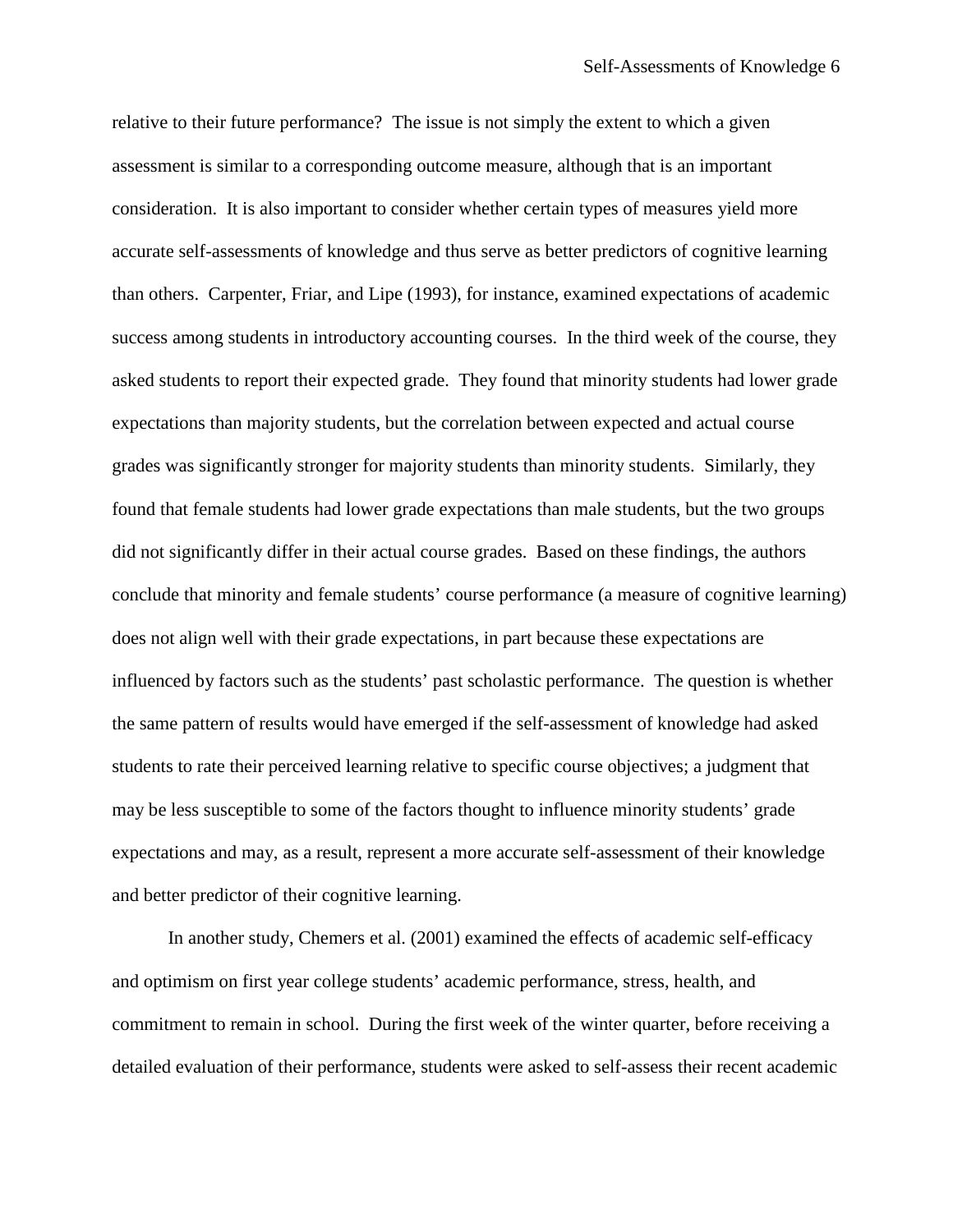relative to their future performance? The issue is not simply the extent to which a given assessment is similar to a corresponding outcome measure, although that is an important consideration. It is also important to consider whether certain types of measures yield more accurate self-assessments of knowledge and thus serve as better predictors of cognitive learning than others. Carpenter, Friar, and Lipe (1993), for instance, examined expectations of academic success among students in introductory accounting courses. In the third week of the course, they asked students to report their expected grade. They found that minority students had lower grade expectations than majority students, but the correlation between expected and actual course grades was significantly stronger for majority students than minority students. Similarly, they found that female students had lower grade expectations than male students, but the two groups did not significantly differ in their actual course grades. Based on these findings, the authors conclude that minority and female students' course performance (a measure of cognitive learning) does not align well with their grade expectations, in part because these expectations are influenced by factors such as the students' past scholastic performance. The question is whether the same pattern of results would have emerged if the self-assessment of knowledge had asked students to rate their perceived learning relative to specific course objectives; a judgment that may be less susceptible to some of the factors thought to influence minority students' grade expectations and may, as a result, represent a more accurate self-assessment of their knowledge and better predictor of their cognitive learning.

In another study, Chemers et al. (2001) examined the effects of academic self-efficacy and optimism on first year college students' academic performance, stress, health, and commitment to remain in school. During the first week of the winter quarter, before receiving a detailed evaluation of their performance, students were asked to self-assess their recent academic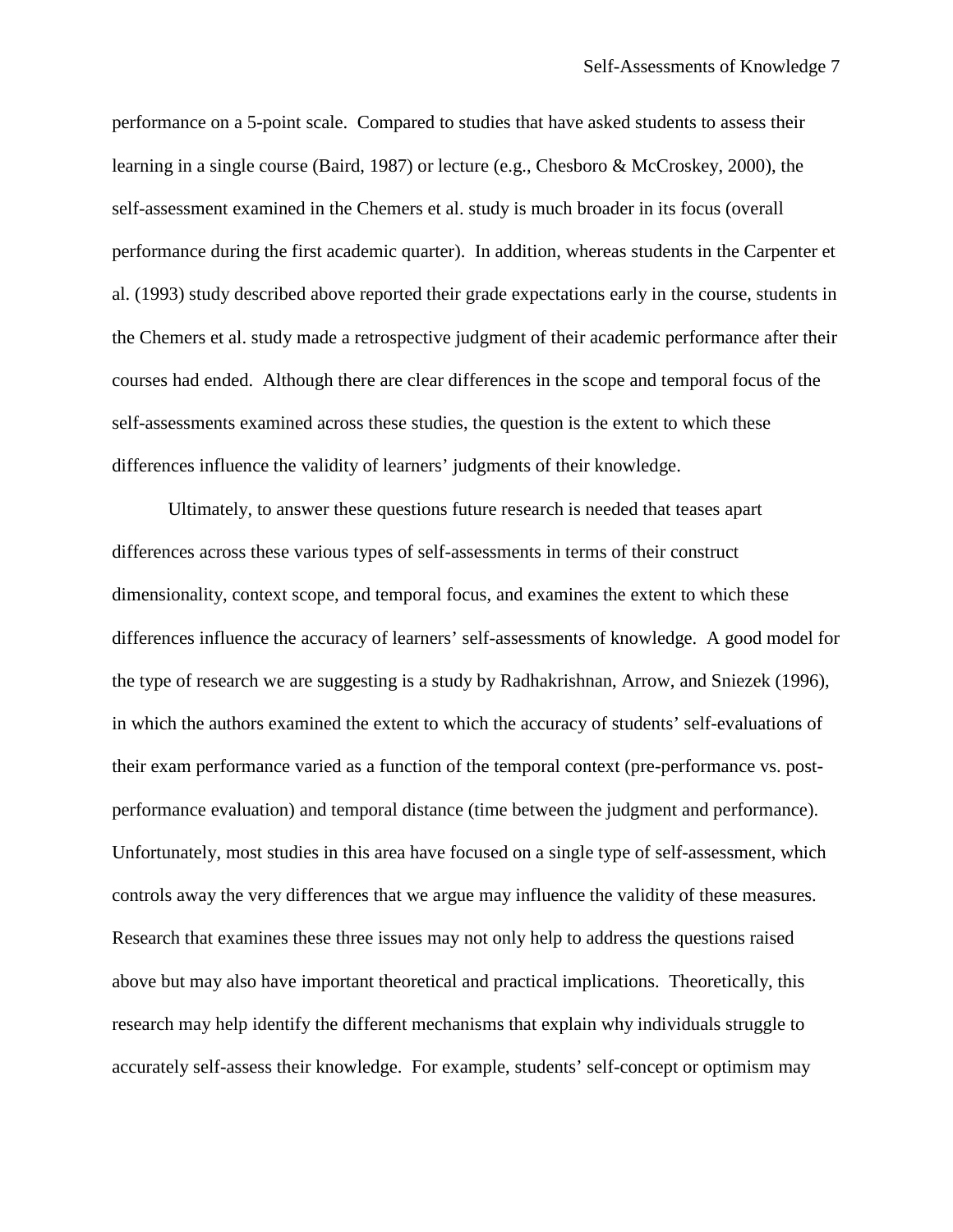performance on a 5-point scale. Compared to studies that have asked students to assess their learning in a single course (Baird, 1987) or lecture (e.g., Chesboro & McCroskey, 2000), the self-assessment examined in the Chemers et al. study is much broader in its focus (overall performance during the first academic quarter). In addition, whereas students in the Carpenter et al. (1993) study described above reported their grade expectations early in the course, students in the Chemers et al. study made a retrospective judgment of their academic performance after their courses had ended. Although there are clear differences in the scope and temporal focus of the self-assessments examined across these studies, the question is the extent to which these differences influence the validity of learners' judgments of their knowledge.

Ultimately, to answer these questions future research is needed that teases apart differences across these various types of self-assessments in terms of their construct dimensionality, context scope, and temporal focus, and examines the extent to which these differences influence the accuracy of learners' self-assessments of knowledge. A good model for the type of research we are suggesting is a study by Radhakrishnan, Arrow, and Sniezek (1996), in which the authors examined the extent to which the accuracy of students' self-evaluations of their exam performance varied as a function of the temporal context (pre-performance vs. postperformance evaluation) and temporal distance (time between the judgment and performance). Unfortunately, most studies in this area have focused on a single type of self-assessment, which controls away the very differences that we argue may influence the validity of these measures. Research that examines these three issues may not only help to address the questions raised above but may also have important theoretical and practical implications. Theoretically, this research may help identify the different mechanisms that explain why individuals struggle to accurately self-assess their knowledge. For example, students' self-concept or optimism may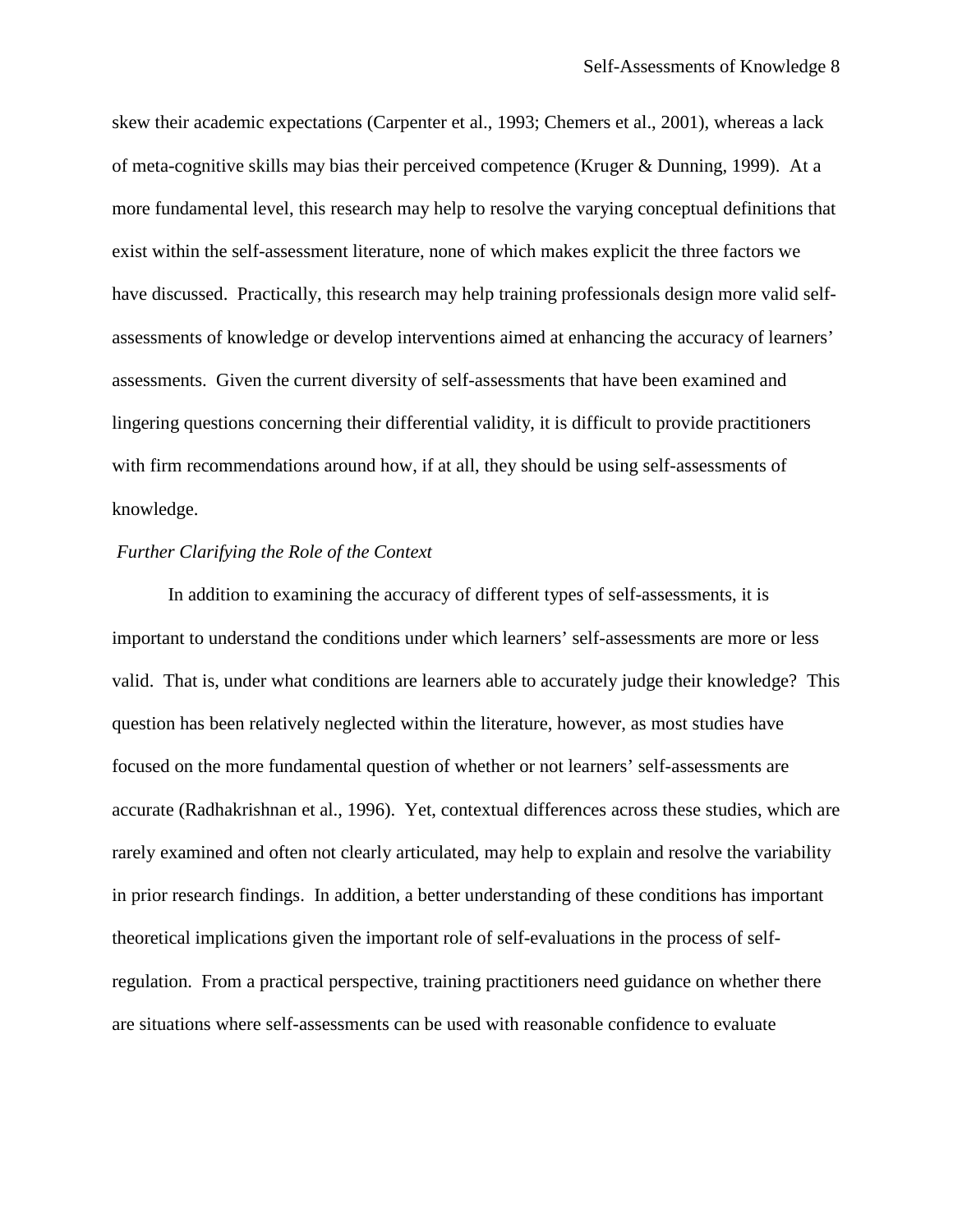skew their academic expectations (Carpenter et al., 1993; Chemers et al., 2001), whereas a lack of meta-cognitive skills may bias their perceived competence (Kruger & Dunning, 1999). At a more fundamental level, this research may help to resolve the varying conceptual definitions that exist within the self-assessment literature, none of which makes explicit the three factors we have discussed. Practically, this research may help training professionals design more valid selfassessments of knowledge or develop interventions aimed at enhancing the accuracy of learners' assessments. Given the current diversity of self-assessments that have been examined and lingering questions concerning their differential validity, it is difficult to provide practitioners with firm recommendations around how, if at all, they should be using self-assessments of knowledge.

#### *Further Clarifying the Role of the Context*

In addition to examining the accuracy of different types of self-assessments, it is important to understand the conditions under which learners' self-assessments are more or less valid. That is, under what conditions are learners able to accurately judge their knowledge? This question has been relatively neglected within the literature, however, as most studies have focused on the more fundamental question of whether or not learners' self-assessments are accurate (Radhakrishnan et al., 1996). Yet, contextual differences across these studies, which are rarely examined and often not clearly articulated, may help to explain and resolve the variability in prior research findings. In addition, a better understanding of these conditions has important theoretical implications given the important role of self-evaluations in the process of selfregulation. From a practical perspective, training practitioners need guidance on whether there are situations where self-assessments can be used with reasonable confidence to evaluate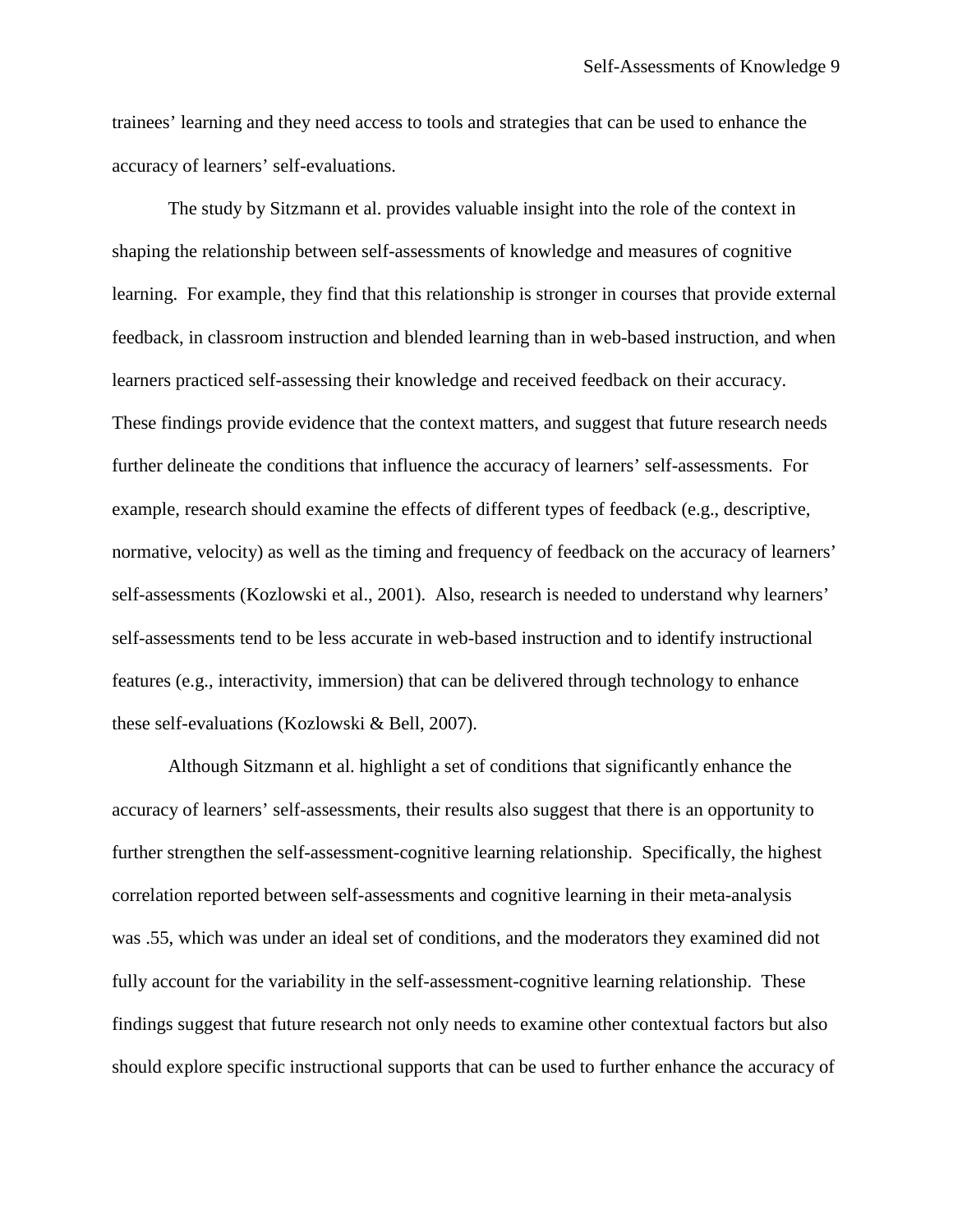trainees' learning and they need access to tools and strategies that can be used to enhance the accuracy of learners' self-evaluations.

The study by Sitzmann et al. provides valuable insight into the role of the context in shaping the relationship between self-assessments of knowledge and measures of cognitive learning. For example, they find that this relationship is stronger in courses that provide external feedback, in classroom instruction and blended learning than in web-based instruction, and when learners practiced self-assessing their knowledge and received feedback on their accuracy. These findings provide evidence that the context matters, and suggest that future research needs further delineate the conditions that influence the accuracy of learners' self-assessments. For example, research should examine the effects of different types of feedback (e.g., descriptive, normative, velocity) as well as the timing and frequency of feedback on the accuracy of learners' self-assessments (Kozlowski et al., 2001). Also, research is needed to understand why learners' self-assessments tend to be less accurate in web-based instruction and to identify instructional features (e.g., interactivity, immersion) that can be delivered through technology to enhance these self-evaluations (Kozlowski & Bell, 2007).

Although Sitzmann et al. highlight a set of conditions that significantly enhance the accuracy of learners' self-assessments, their results also suggest that there is an opportunity to further strengthen the self-assessment-cognitive learning relationship. Specifically, the highest correlation reported between self-assessments and cognitive learning in their meta-analysis was .55, which was under an ideal set of conditions, and the moderators they examined did not fully account for the variability in the self-assessment-cognitive learning relationship. These findings suggest that future research not only needs to examine other contextual factors but also should explore specific instructional supports that can be used to further enhance the accuracy of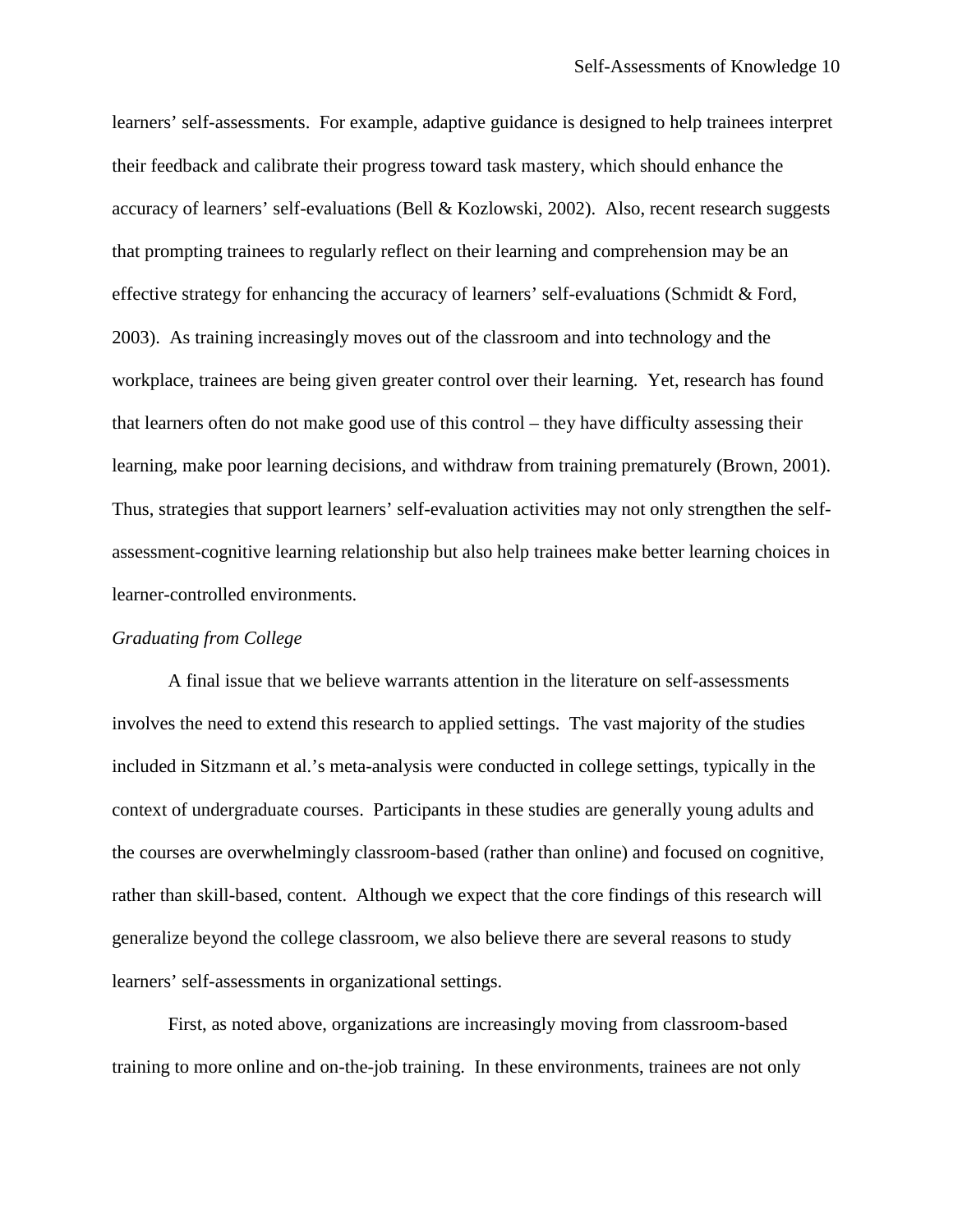learners' self-assessments. For example, adaptive guidance is designed to help trainees interpret their feedback and calibrate their progress toward task mastery, which should enhance the accuracy of learners' self-evaluations (Bell & Kozlowski, 2002). Also, recent research suggests that prompting trainees to regularly reflect on their learning and comprehension may be an effective strategy for enhancing the accuracy of learners' self-evaluations (Schmidt & Ford, 2003). As training increasingly moves out of the classroom and into technology and the workplace, trainees are being given greater control over their learning. Yet, research has found that learners often do not make good use of this control – they have difficulty assessing their learning, make poor learning decisions, and withdraw from training prematurely (Brown, 2001). Thus, strategies that support learners' self-evaluation activities may not only strengthen the selfassessment-cognitive learning relationship but also help trainees make better learning choices in learner-controlled environments.

#### *Graduating from College*

A final issue that we believe warrants attention in the literature on self-assessments involves the need to extend this research to applied settings. The vast majority of the studies included in Sitzmann et al.'s meta-analysis were conducted in college settings, typically in the context of undergraduate courses. Participants in these studies are generally young adults and the courses are overwhelmingly classroom-based (rather than online) and focused on cognitive, rather than skill-based, content. Although we expect that the core findings of this research will generalize beyond the college classroom, we also believe there are several reasons to study learners' self-assessments in organizational settings.

First, as noted above, organizations are increasingly moving from classroom-based training to more online and on-the-job training. In these environments, trainees are not only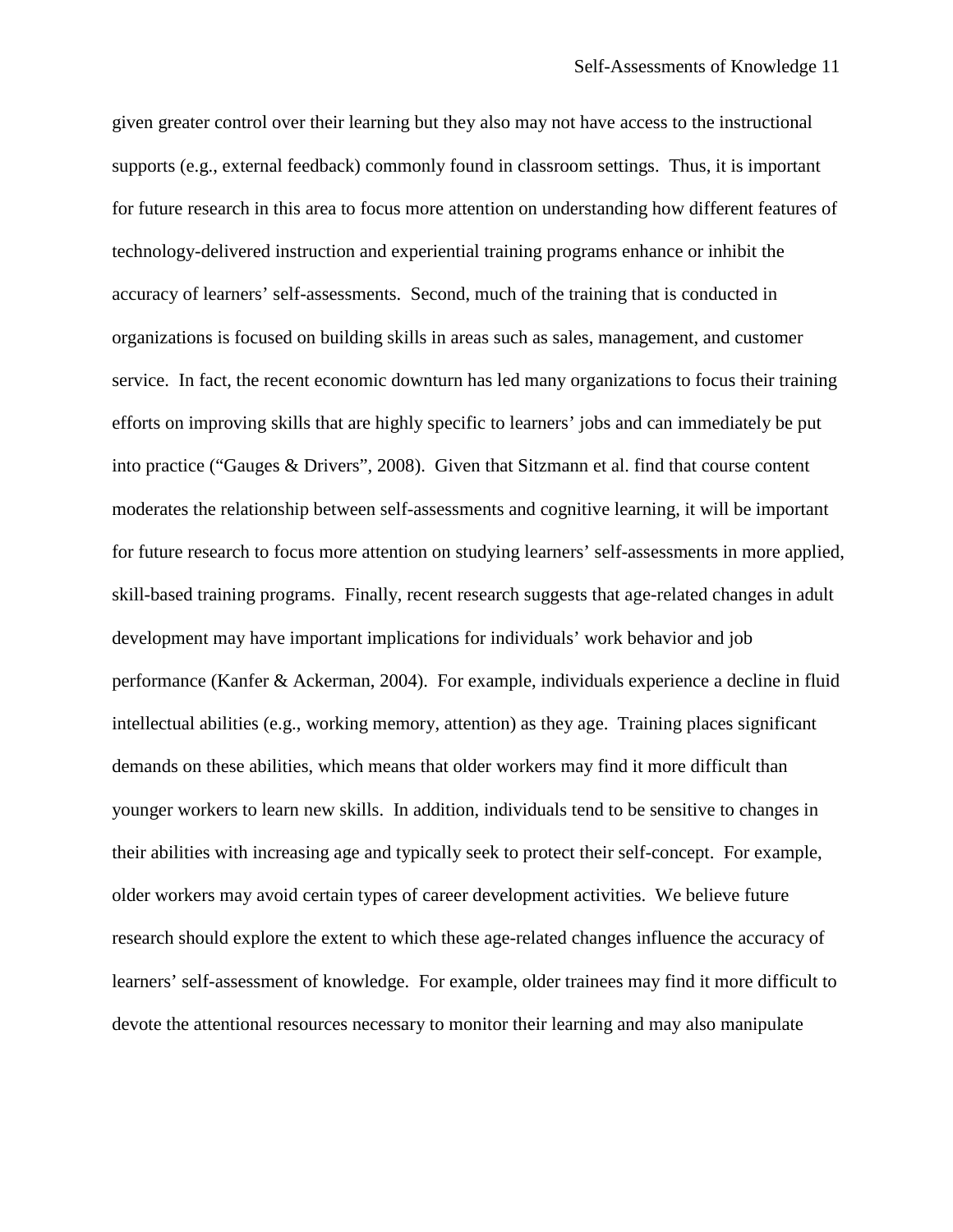given greater control over their learning but they also may not have access to the instructional supports (e.g., external feedback) commonly found in classroom settings. Thus, it is important for future research in this area to focus more attention on understanding how different features of technology-delivered instruction and experiential training programs enhance or inhibit the accuracy of learners' self-assessments. Second, much of the training that is conducted in organizations is focused on building skills in areas such as sales, management, and customer service. In fact, the recent economic downturn has led many organizations to focus their training efforts on improving skills that are highly specific to learners' jobs and can immediately be put into practice ("Gauges & Drivers", 2008). Given that Sitzmann et al. find that course content moderates the relationship between self-assessments and cognitive learning, it will be important for future research to focus more attention on studying learners' self-assessments in more applied, skill-based training programs. Finally, recent research suggests that age-related changes in adult development may have important implications for individuals' work behavior and job performance (Kanfer & Ackerman, 2004). For example, individuals experience a decline in fluid intellectual abilities (e.g., working memory, attention) as they age. Training places significant demands on these abilities, which means that older workers may find it more difficult than younger workers to learn new skills. In addition, individuals tend to be sensitive to changes in their abilities with increasing age and typically seek to protect their self-concept. For example, older workers may avoid certain types of career development activities. We believe future research should explore the extent to which these age-related changes influence the accuracy of learners' self-assessment of knowledge. For example, older trainees may find it more difficult to devote the attentional resources necessary to monitor their learning and may also manipulate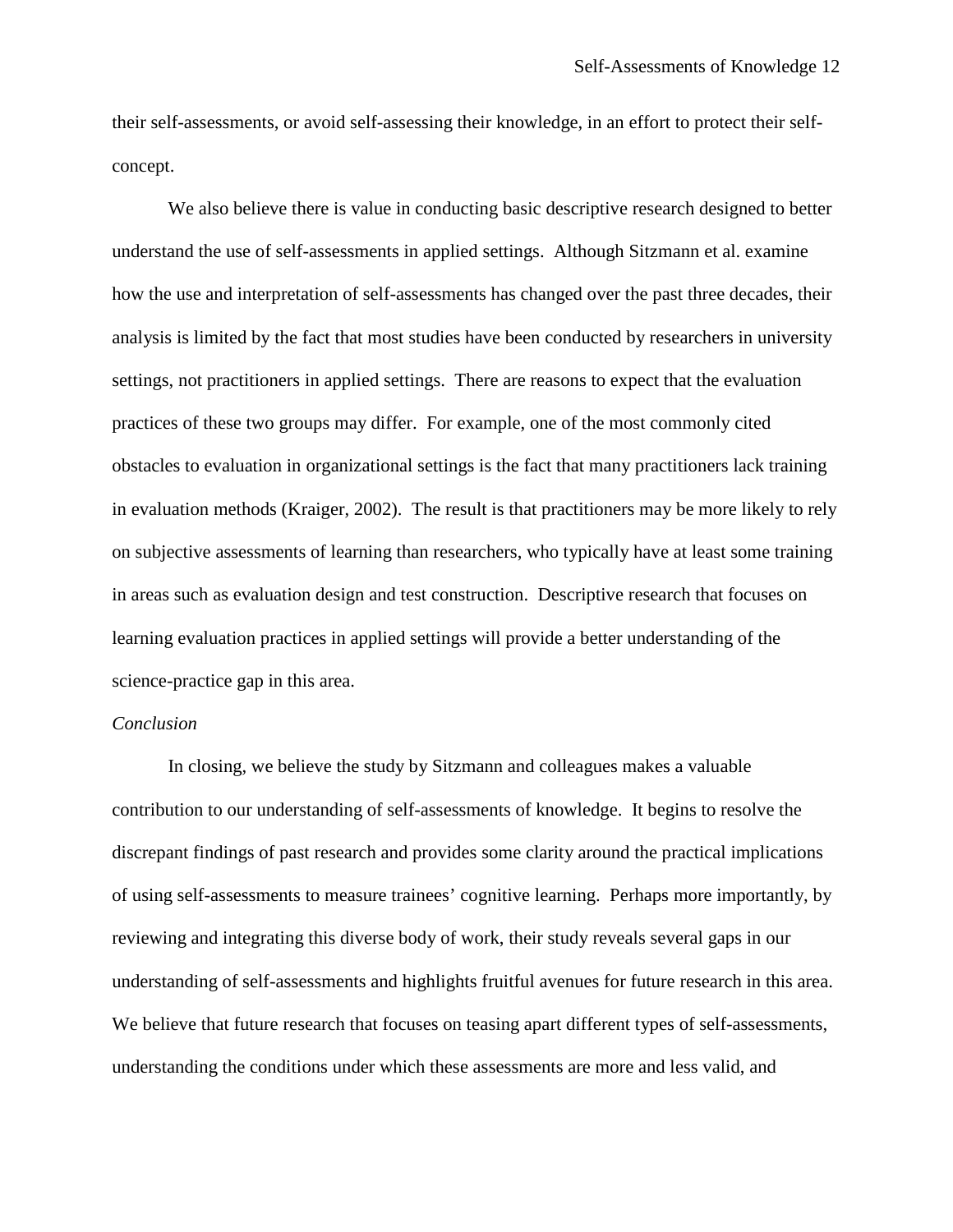their self-assessments, or avoid self-assessing their knowledge, in an effort to protect their selfconcept.

We also believe there is value in conducting basic descriptive research designed to better understand the use of self-assessments in applied settings. Although Sitzmann et al. examine how the use and interpretation of self-assessments has changed over the past three decades, their analysis is limited by the fact that most studies have been conducted by researchers in university settings, not practitioners in applied settings. There are reasons to expect that the evaluation practices of these two groups may differ. For example, one of the most commonly cited obstacles to evaluation in organizational settings is the fact that many practitioners lack training in evaluation methods (Kraiger, 2002). The result is that practitioners may be more likely to rely on subjective assessments of learning than researchers, who typically have at least some training in areas such as evaluation design and test construction. Descriptive research that focuses on learning evaluation practices in applied settings will provide a better understanding of the science-practice gap in this area.

### *Conclusion*

In closing, we believe the study by Sitzmann and colleagues makes a valuable contribution to our understanding of self-assessments of knowledge. It begins to resolve the discrepant findings of past research and provides some clarity around the practical implications of using self-assessments to measure trainees' cognitive learning. Perhaps more importantly, by reviewing and integrating this diverse body of work, their study reveals several gaps in our understanding of self-assessments and highlights fruitful avenues for future research in this area. We believe that future research that focuses on teasing apart different types of self-assessments, understanding the conditions under which these assessments are more and less valid, and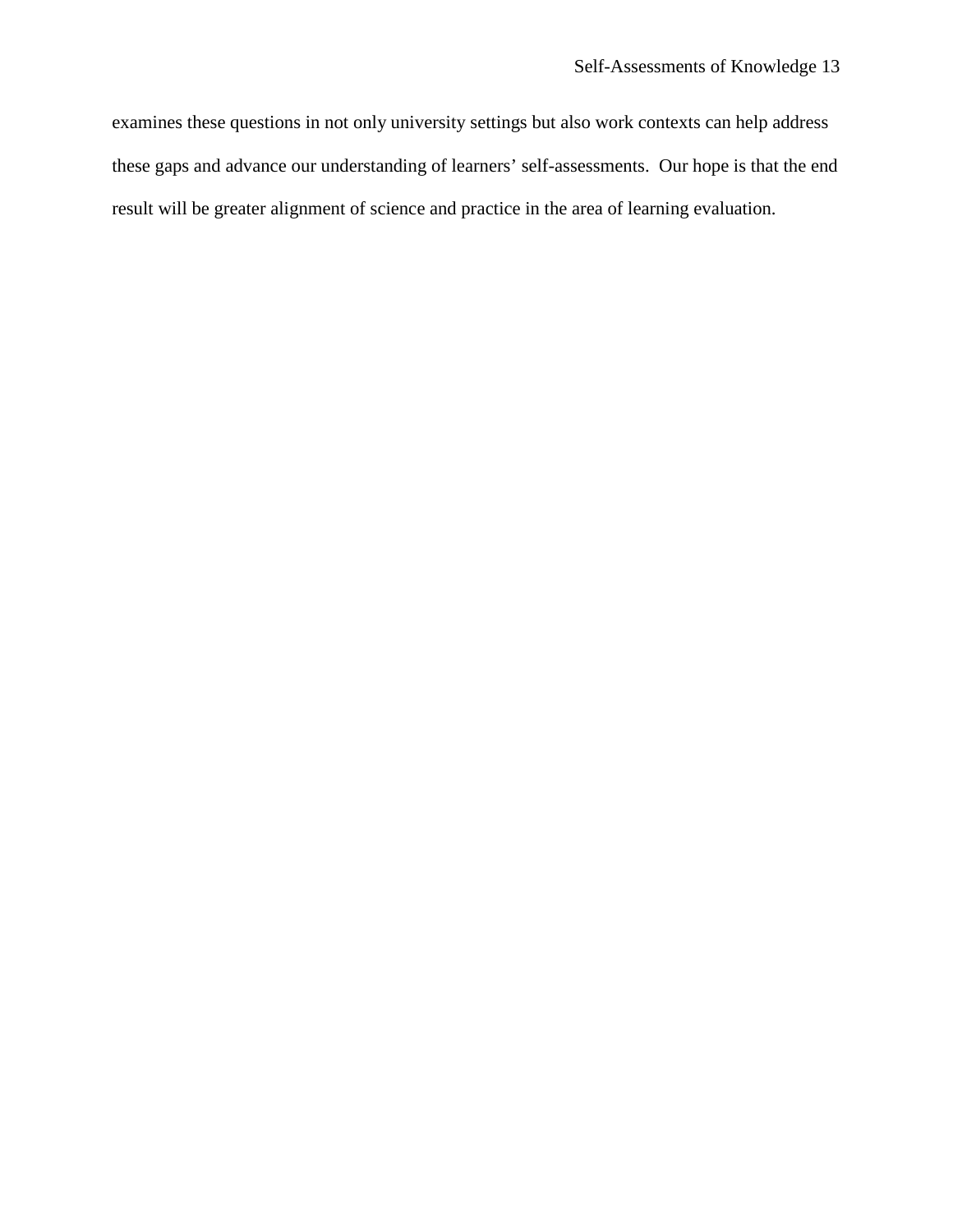examines these questions in not only university settings but also work contexts can help address these gaps and advance our understanding of learners' self-assessments. Our hope is that the end result will be greater alignment of science and practice in the area of learning evaluation.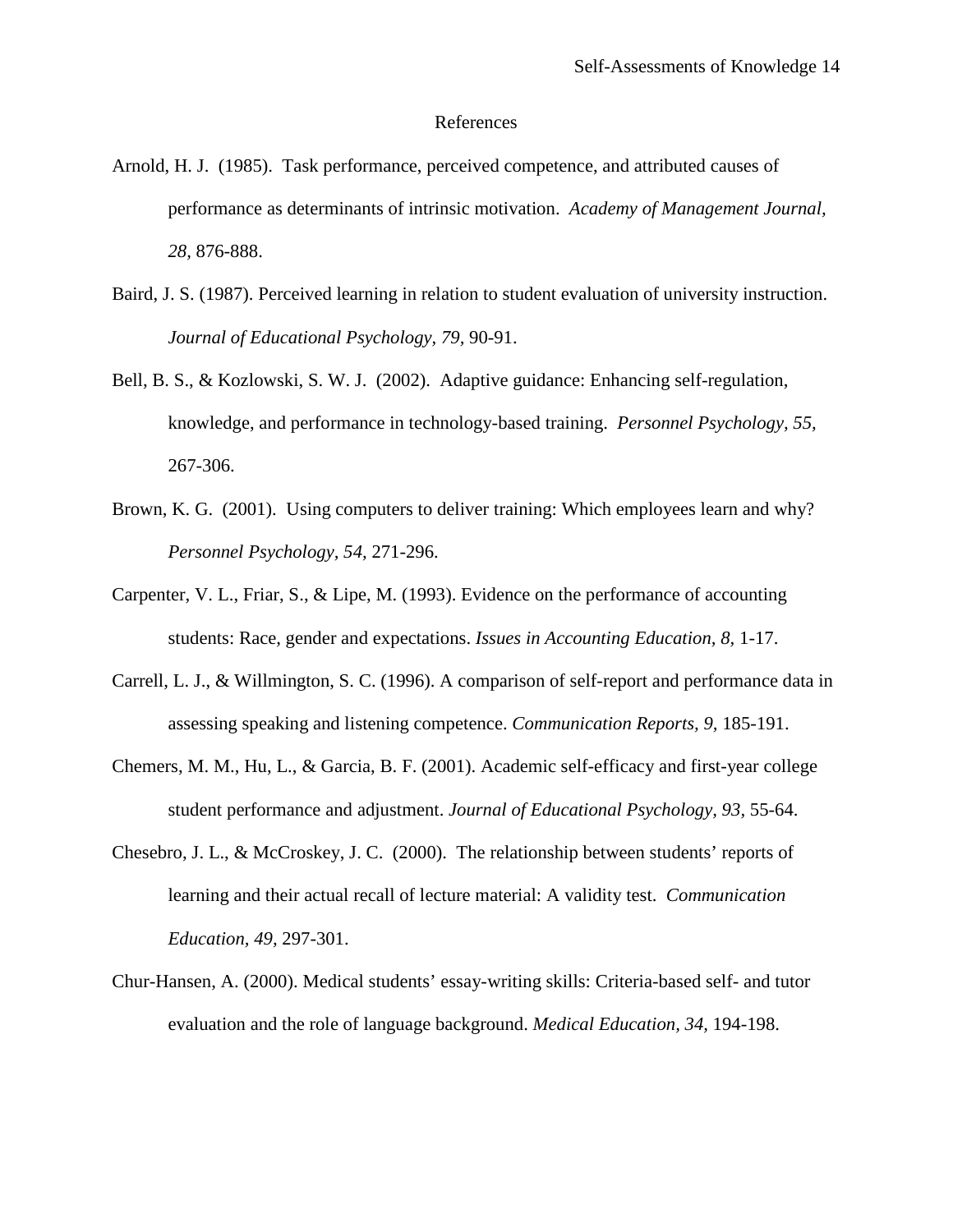#### References

- Arnold, H. J. (1985). Task performance, perceived competence, and attributed causes of performance as determinants of intrinsic motivation. *Academy of Management Journal, 28,* 876-888.
- Baird, J. S. (1987). Perceived learning in relation to student evaluation of university instruction. *Journal of Educational Psychology, 79,* 90-91.
- Bell, B. S., & Kozlowski, S. W. J. (2002). Adaptive guidance: Enhancing self-regulation, knowledge, and performance in technology-based training. *Personnel Psychology, 55,* 267-306.
- Brown, K. G. (2001). Using computers to deliver training: Which employees learn and why? *Personnel Psychology, 54,* 271-296.
- Carpenter, V. L., Friar, S., & Lipe, M. (1993). Evidence on the performance of accounting students: Race, gender and expectations. *Issues in Accounting Education, 8,* 1-17.
- Carrell, L. J., & Willmington, S. C. (1996). A comparison of self-report and performance data in assessing speaking and listening competence. *Communication Reports, 9,* 185-191.
- Chemers, M. M., Hu, L., & Garcia, B. F. (2001). Academic self-efficacy and first-year college student performance and adjustment. *Journal of Educational Psychology, 93,* 55-64.
- Chesebro, J. L., & McCroskey, J. C. (2000). The relationship between students' reports of learning and their actual recall of lecture material: A validity test. *Communication Education, 49,* 297-301.
- Chur-Hansen, A. (2000). Medical students' essay-writing skills: Criteria-based self- and tutor evaluation and the role of language background. *Medical Education, 34,* 194-198.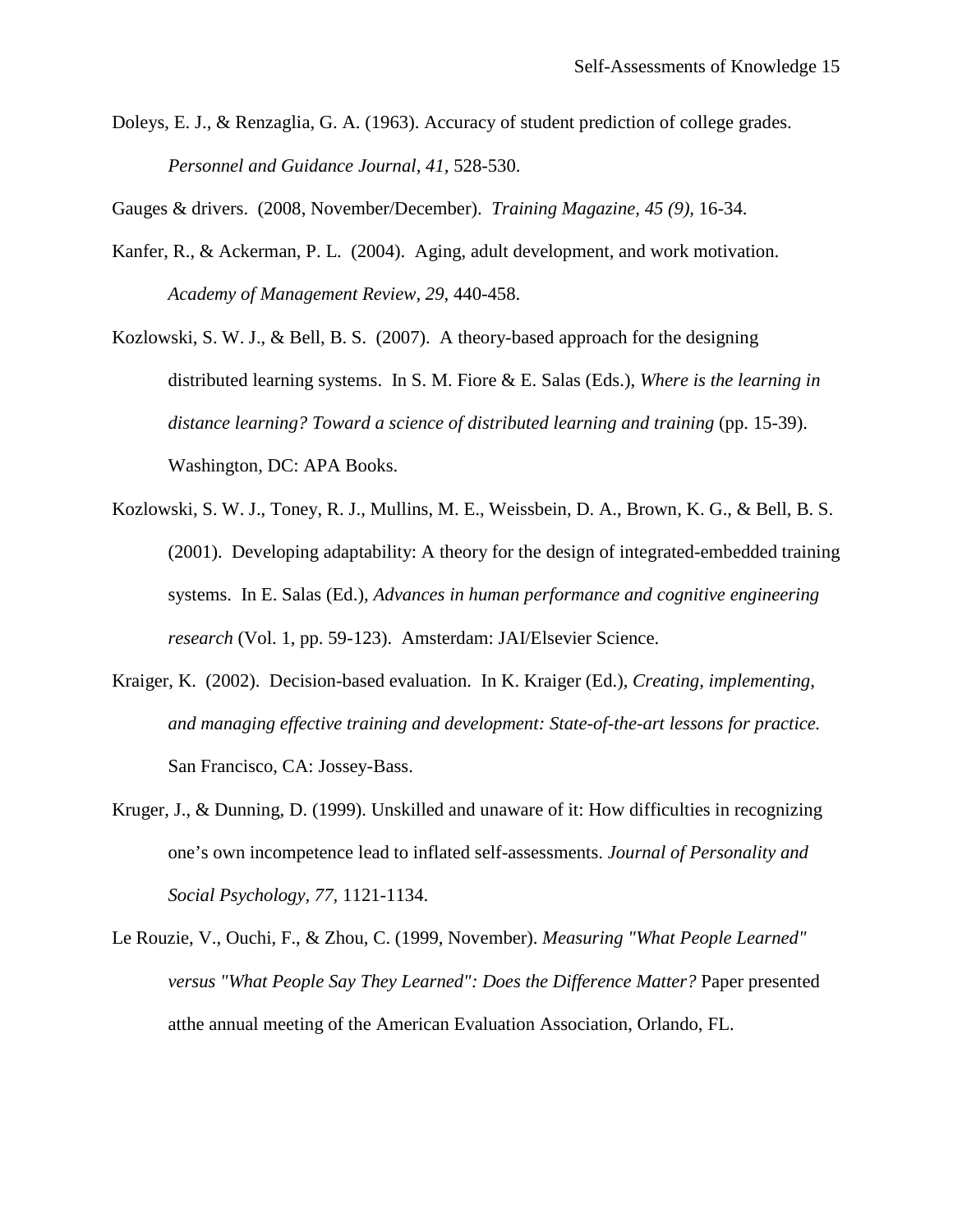Doleys, E. J., & Renzaglia, G. A. (1963). Accuracy of student prediction of college grades. *Personnel and Guidance Journal, 41,* 528-530.

Gauges & drivers. (2008, November/December). *Training Magazine, 45 (9),* 16-34.

- Kanfer, R., & Ackerman, P. L. (2004). Aging, adult development, and work motivation. *Academy of Management Review, 29,* 440-458.
- Kozlowski, S. W. J., & Bell, B. S. (2007). A theory-based approach for the designing distributed learning systems. In S. M. Fiore & E. Salas (Eds.), *Where is the learning in*  distance learning? Toward a science of distributed learning and training (pp. 15-39). Washington, DC: APA Books.
- Kozlowski, S. W. J., Toney, R. J., Mullins, M. E., Weissbein, D. A., Brown, K. G., & Bell, B. S. (2001). Developing adaptability: A theory for the design of integrated-embedded training systems. In E. Salas (Ed.), *Advances in human performance and cognitive engineering research* (Vol. 1, pp. 59-123). Amsterdam: JAI/Elsevier Science.
- Kraiger, K. (2002). Decision-based evaluation. In K. Kraiger (Ed.), *Creating, implementing, and managing effective training and development: State-of-the-art lessons for practice.*  San Francisco, CA: Jossey-Bass.
- Kruger, J., & Dunning, D. (1999). Unskilled and unaware of it: How difficulties in recognizing one's own incompetence lead to inflated self-assessments. *Journal of Personality and Social Psychology, 77,* 1121-1134.
- Le Rouzie, V., Ouchi, F., & Zhou, C. (1999, November). *Measuring "What People Learned" versus "What People Say They Learned": Does the Difference Matter? Paper presented* atthe annual meeting of the American Evaluation Association, Orlando, FL.